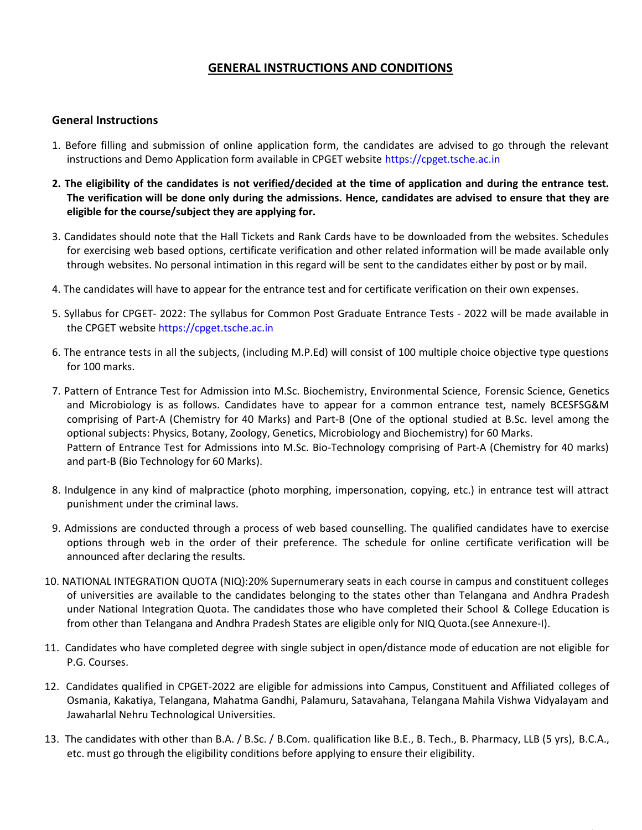## GENERAL INSTRUCTIONS AND CONDITIONS

## General Instructions

- 1. Before filling and submission of online application form, the candidates are advised to go through the relevant instructions and Demo Application form available in CPGET website https://cpget.tsche.ac.in
- 2. The eligibility of the candidates is not verified/decided at the time of application and during the entrance test. The verification will be done only during the admissions. Hence, candidates are advised to ensure that they are eligible for the course/subject they are applying for.
- 3. Candidates should note that the Hall Tickets and Rank Cards have to be downloaded from the websites. Schedules for exercising web based options, certificate verification and other related information will be made available only through websites. No personal intimation in this regard will be sent to the candidates either by post or by mail.
- 4. The candidates will have to appear for the entrance test and for certificate verification on their own expenses.
- 5. Syllabus for CPGET- 2022: The syllabus for Common Post Graduate Entrance Tests 2022 will be made available in the CPGET website https://cpget.tsche.ac.in
- 6. The entrance tests in all the subjects, (including M.P.Ed) will consist of 100 multiple choice objective type questions for 100 marks.
- 7. Pattern of Entrance Test for Admission into M.Sc. Biochemistry, Environmental Science, Forensic Science, Genetics and Microbiology is as follows. Candidates have to appear for a common entrance test, namely BCESFSG&M comprising of Part-A (Chemistry for 40 Marks) and Part-B (One of the optional studied at B.Sc. level among the optional subjects: Physics, Botany, Zoology, Genetics, Microbiology and Biochemistry) for 60 Marks. Pattern of Entrance Test for Admissions into M.Sc. Bio-Technology comprising of Part-A (Chemistry for 40 marks) and part-B (Bio Technology for 60 Marks).
- 8. Indulgence in any kind of malpractice (photo morphing, impersonation, copying, etc.) in entrance test will attract punishment under the criminal laws.
- 9. Admissions are conducted through a process of web based counselling. The qualified candidates have to exercise options through web in the order of their preference. The schedule for online certificate verification will be announced after declaring the results.
- 10. NATIONAL INTEGRATION QUOTA (NIQ):20% Supernumerary seats in each course in campus and constituent colleges of universities are available to the candidates belonging to the states other than Telangana and Andhra Pradesh under National Integration Quota. The candidates those who have completed their School & College Education is from other than Telangana and Andhra Pradesh States are eligible only for NIQ Quota.(see Annexure-I).
- 11. Candidates who have completed degree with single subject in open/distance mode of education are not eligible for P.G. Courses.
- 12. Candidates qualified in CPGET-2022 are eligible for admissions into Campus, Constituent and Affiliated colleges of Osmania, Kakatiya, Telangana, Mahatma Gandhi, Palamuru, Satavahana, Telangana Mahila Vishwa Vidyalayam and Jawaharlal Nehru Technological Universities.
- 13. The candidates with other than B.A. / B.Sc. / B.Com. qualification like B.E., B. Tech., B. Pharmacy, LLB (5 yrs), B.C.A., etc. must go through the eligibility conditions before applying to ensure their eligibility.